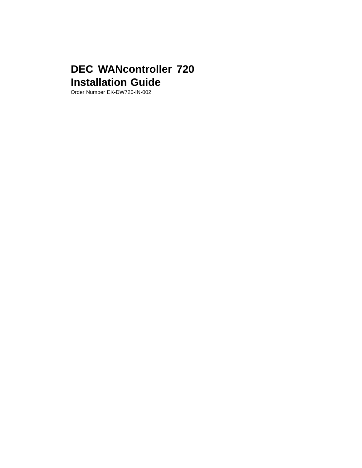## **DEC WANcontroller 720 Installation Guide**

Order Number EK-DW720-IN-002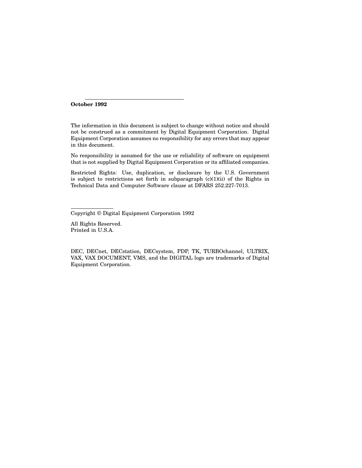**October 1992**

The information in this document is subject to change without notice and should not be construed as a commitment by Digital Equipment Corporation. Digital Equipment Corporation assumes no responsibility for any errors that may appear in this document.

No responsibility is assumed for the use or reliability of software on equipment that is not supplied by Digital Equipment Corporation or its affiliated companies.

Restricted Rights: Use, duplication, or disclosure by the U.S. Government is subject to restrictions set forth in subparagraph (c)(1)(ii) of the Rights in Technical Data and Computer Software clause at DFARS 252.227-7013.

Copyright © Digital Equipment Corporation 1992

All Rights Reserved. Printed in U.S.A.

DEC, DECnet, DECstation, DECsystem, PDP, TK, TURBOchannel, ULTRIX, VAX, VAX DOCUMENT, VMS, and the DIGITAL logo are trademarks of Digital Equipment Corporation.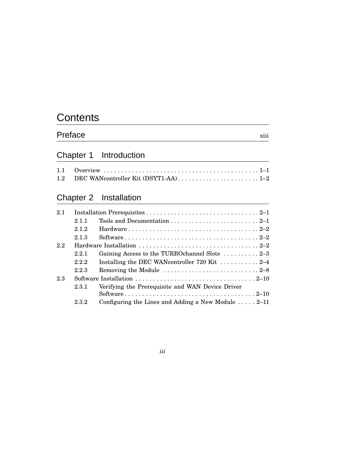## **Contents**

| Preface | $\cdots$<br><b>X111</b> |
|---------|-------------------------|
|---------|-------------------------|

## Chapter 1 Introduction

## Chapter 2 Installation

| 2.1 |       |                                                                                       |
|-----|-------|---------------------------------------------------------------------------------------|
|     | 2.11  |                                                                                       |
|     | 2.1.2 |                                                                                       |
|     | 2.1.3 |                                                                                       |
| 2.2 |       |                                                                                       |
|     | 2.2.1 | Gaining Access to the TURBOchannel Slots 2-3                                          |
|     | 2.2.2 | Installing the DEC WAN controller 720 Kit $\ldots \ldots \ldots 2-4$                  |
|     | 2.2.3 | Removing the Module $\dots \dots \dots \dots \dots \dots \dots \dots \dots \dots 2-8$ |
| 2.3 |       |                                                                                       |
|     | 2.3.1 | Verifying the Prerequisite and WAN Device Driver                                      |
|     |       |                                                                                       |
|     | 2.3.2 | Configuring the Lines and Adding a New Module $\ldots$ 2–11                           |

*iii*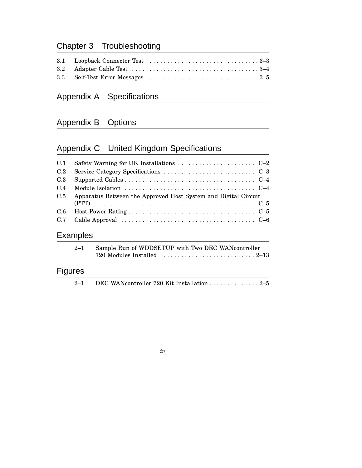## Chapter 3 Troubleshooting

## Appendix A Specifications

## Appendix B Options

## Appendix C United Kingdom Specifications

| C.1 |                                                                                    |
|-----|------------------------------------------------------------------------------------|
| C.2 |                                                                                    |
| C.3 |                                                                                    |
| C.4 | Module Isolation $\dots\dots\dots\dots\dots\dots\dots\dots\dots\dots\dots\dots$    |
| C.5 | Apparatus Between the Approved Host System and Digital Circuit                     |
| C.6 |                                                                                    |
| C.7 | Cable Approval $\dots\dots\dots\dots\dots\dots\dots\dots\dots\dots\dots\dots\dots$ |
|     | Examples                                                                           |
|     |                                                                                    |

| 2–1 Sample Run of WDDSETUP with Two DEC WANController                                |
|--------------------------------------------------------------------------------------|
| 720 Modules Installed $\ldots \ldots \ldots \ldots \ldots \ldots \ldots \ldots 2-13$ |
|                                                                                      |

## Figures

| $2 - 1$ |  |  | DEC WANcontroller 720 Kit Installation 2–5 |
|---------|--|--|--------------------------------------------|
|---------|--|--|--------------------------------------------|

*iv*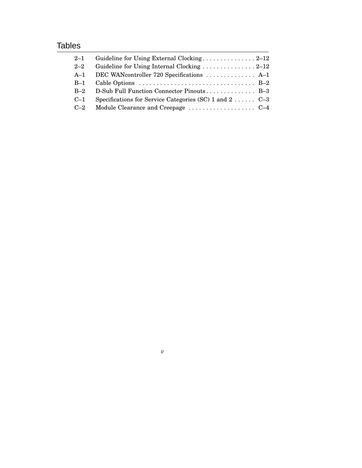## **Tables**

| $2 - 1$ |                                                                                       |  |
|---------|---------------------------------------------------------------------------------------|--|
| $2 - 2$ | Guideline for Using Internal Clocking $\ldots \ldots \ldots \ldots \ldots 2-12$       |  |
| $A-1$   | DEC WANcontroller 720 Specifications  A-1                                             |  |
| $B-1$   | Cable Options $\dots \dots \dots \dots \dots \dots \dots \dots \dots \dots \dots$ B-2 |  |
| $B-2$   | D-Sub Full Function Connector Pinouts B-3                                             |  |
| $C-1$   | Specifications for Service Categories (SC) 1 and 2 $C-3$                              |  |
| $C-2$   |                                                                                       |  |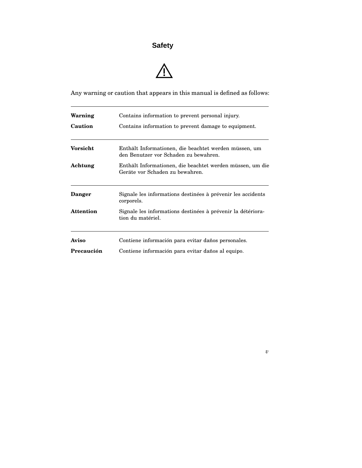## **Safety**



Any warning or caution that appears in this manual is defined as follows:

| Warning          | Contains information to prevent personal injury.                                               |
|------------------|------------------------------------------------------------------------------------------------|
| Caution          | Contains information to prevent damage to equipment.                                           |
| Vorsicht         | Enthält Informationen, die beachtet werden müssen, um<br>den Benutzer vor Schaden zu bewahren. |
| Achtung          | Enthält Informationen, die beachtet werden müssen, um die<br>Geräte vor Schaden zu bewahren.   |
| <b>Danger</b>    | Signale les informations destinées à prévenir les accidents<br>corporels.                      |
| <b>Attention</b> | Signale les informations destinées à prévenir la détériora-<br>tion du matériel.               |
| Aviso            | Contiene información para evitar daños personales.                                             |
| Precaución       | Contiene información para evitar daños al equipo.                                              |

*v*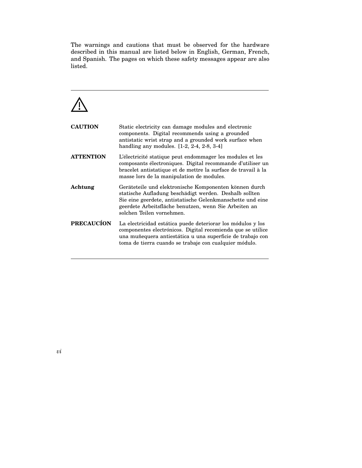The warnings and cautions that must be observed for the hardware described in this manual are listed below in English, German, French, and Spanish. The pages on which these safety messages appear are also listed.

# $\overline{\mathbb{A}}$

| <b>CAUTION</b>    | Static electricity can damage modules and electronic<br>components. Digital recommends using a grounded<br>antistatic wrist strap and a grounded work surface when<br>handling any modules. $[1-2, 2-4, 2-8, 3-4]$                                                   |
|-------------------|----------------------------------------------------------------------------------------------------------------------------------------------------------------------------------------------------------------------------------------------------------------------|
| <b>ATTENTION</b>  | L'électricité statique peut endommager les modules et les<br>composants électroniques. Digital recommande d'utiliser un<br>bracelet antistatique et de mettre la surface de travail à la<br>masse lors de la manipulation de modules.                                |
| Achtung           | Geräteteile und elektronische Komponenten können durch<br>statische Aufladung beschädigt werden. Deshalb sollten<br>Sie eine geerdete, antistatische Gelenkmanschette und eine<br>geerdete Arbeitsfläche benutzen, wenn Sie Arbeiten an<br>solchen Teilen vornehmen. |
| <b>PRECAUCÍON</b> | La electricidad estática puede deteriorar los módulos y los<br>componentes electrónicos. Digital recomienda que se utilice<br>una muñequera antiestática u una superficie de trabajo con<br>toma de tierra cuando se trabaje con cualquier módulo.                   |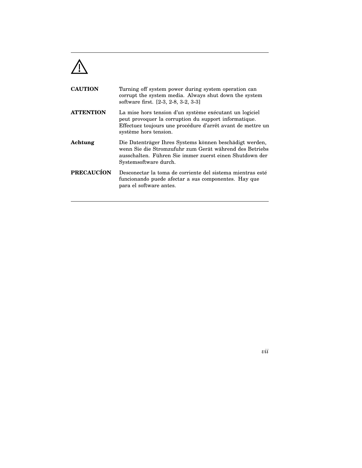

| <b>CAUTION</b>    | Turning off system power during system operation can<br>corrupt the system media. Always shut down the system<br>software first. [2-3, 2-8, 3-2, 3-3]                                                    |
|-------------------|----------------------------------------------------------------------------------------------------------------------------------------------------------------------------------------------------------|
| <b>ATTENTION</b>  | La mise hors tension d'un système exécutant un logiciel<br>peut provoquer la corruption du support informatique.<br>Effectuez toujours une procédure d'arrêt avant de mettre un<br>système hors tension. |
| Achtung           | Die Datenträger Ihres Systems können beschädigt werden,<br>wenn Sie die Stromzufuhr zum Gerät während des Betriebs<br>ausschalten. Führen Sie immer zuerst einen Shutdown der<br>Systems of tware durch. |
| <b>PRECAUCÍON</b> | Desconectar la toma de corriente del sistema mientras esté<br>funcionando puede afectar a sus componentes. Hay que<br>para el software antes.                                                            |

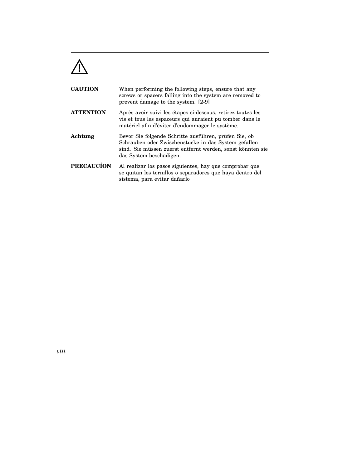

| <b>CAUTION</b>    | When performing the following steps, ensure that any<br>screws or spacers falling into the system are removed to<br>prevent damage to the system. [2-9]                                                |
|-------------------|--------------------------------------------------------------------------------------------------------------------------------------------------------------------------------------------------------|
| <b>ATTENTION</b>  | Après avoir suivi les étapes ci-dessous, retirez toutes les<br>vis et tous les espaceurs qui auraient pu tomber dans le<br>matériel afin d'éviter d'endommager le système.                             |
| Achtung           | Bevor Sie folgende Schritte ausführen, prüfen Sie, ob<br>Schrauben oder Zwischenstücke in das System gefallen<br>sind. Sie müssen zuerst entfernt werden, sonst könnten sie<br>das System beschädigen. |
| <b>PRECAUCÍON</b> | Al realizar los pasos siguientes, hay que comprobar que<br>se quitan los tornillos o separadores que haya dentro del<br>sistema, para evitar dañarlo                                                   |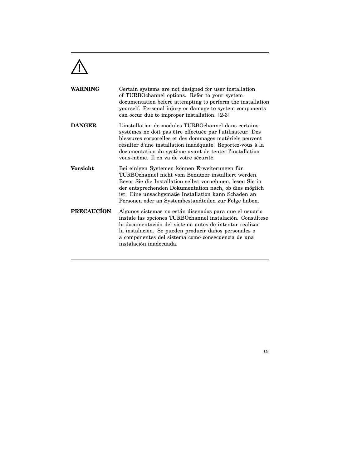

| <b>WARNING</b>    | Certain systems are not designed for user installation<br>of TURBOchannel options. Refer to your system<br>documentation before attempting to perform the installation<br>yourself. Personal injury or damage to system components<br>can occur due to improper installation. [2-3]                                                              |
|-------------------|--------------------------------------------------------------------------------------------------------------------------------------------------------------------------------------------------------------------------------------------------------------------------------------------------------------------------------------------------|
| <b>DANGER</b>     | L'installation de modules TURBOchannel dans certains<br>systèmes ne doit pas être effectuée par l'utilisateur. Des<br>blessures corporelles et des dommages matériels peuvent<br>résulter d'une installation inadéquate. Reportez-vous à la<br>documentation du système avant de tenter l'installation<br>vous-même. Il en va de votre sécurité. |
| <b>Vorsicht</b>   | Bei einigen Systemen können Erweiterungen für<br>TURBOchannel nicht vom Benutzer installiert werden.<br>Bevor Sie die Installation selbst vornehmen, lesen Sie in<br>der entsprechenden Dokumentation nach, ob dies möglich<br>ist. Eine unsachgemäße Installation kann Schaden an<br>Personen oder an Systembestandteilen zur Folge haben.      |
| <b>PRECAUCÍON</b> | Algunos sistemas no están diseñados para que el usuario<br>instale las opciones TURBO channel instalación. Consúltese<br>la documentación del sistema antes de intentar realizar<br>la instalación. Se pueden producir daños personales o<br>a componentes del sistema como consecuencia de una<br>instalación inadecuada.                       |

*ix*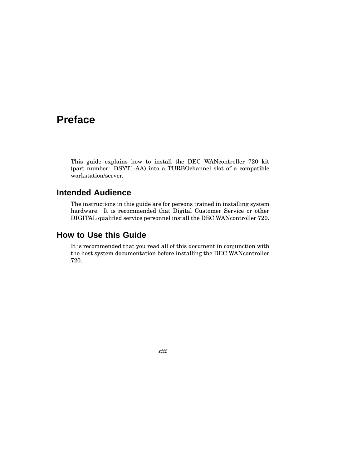## **Preface**

This guide explains how to install the DEC WANcontroller 720 kit (part number: DSYT1-AA) into a TURBOchannel slot of a compatible workstation/server.

### **Intended Audience**

The instructions in this guide are for persons trained in installing system hardware. It is recommended that Digital Customer Service or other DIGITAL qualified service personnel install the DEC WANcontroller 720.

### **How to Use this Guide**

It is recommended that you read all of this document in conjunction with the host system documentation before installing the DEC WANcontroller 720.

*xiii*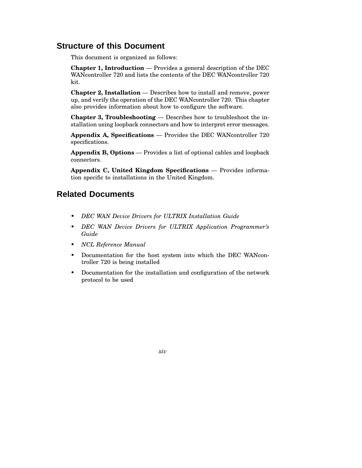### **Structure of this Document**

This document is organized as follows:

**Chapter 1, Introduction** — Provides a general description of the DEC WANcontroller 720 and lists the contents of the DEC WANcontroller 720 kit.

**Chapter 2, Installation** — Describes how to install and remove, power up, and verify the operation of the DEC WANcontroller 720. This chapter also provides information about how to configure the software.

**Chapter 3, Troubleshooting** — Describes how to troubleshoot the installation using loopback connectors and how to interpret error messages.

**Appendix A, Specifications** — Provides the DEC WANcontroller 720 specifications.

**Appendix B, Options** — Provides a list of optional cables and loopback connectors.

**Appendix C, United Kingdom Specifications** — Provides information specific to installations in the United Kingdom.

### **Related Documents**

- *DEC WAN Device Drivers for ULTRIX Installation Guide*
- *DEC WAN Device Drivers for ULTRIX Application Programmer's Guide*
- *NCL Reference Manual*
- Documentation for the host system into which the DEC WANcontroller 720 is being installed
- Documentation for the installation and configuration of the network protocol to be used

*xiv*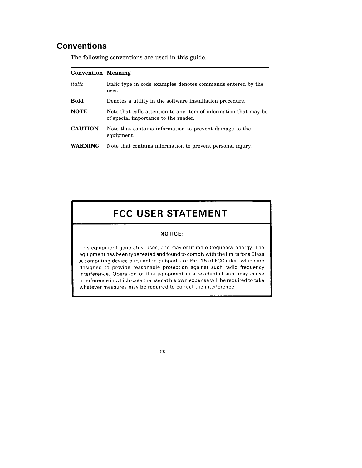## **Conventions**

The following conventions are used in this guide.

| <b>Convention Meaning</b> |                                                                                                          |
|---------------------------|----------------------------------------------------------------------------------------------------------|
| italic                    | Italic type in code examples denotes commands entered by the<br>user.                                    |
| <b>Bold</b>               | Denotes a utility in the software installation procedure.                                                |
| <b>NOTE</b>               | Note that calls attention to any item of information that may be<br>of special importance to the reader. |
| <b>CAUTION</b>            | Note that contains information to prevent damage to the<br>equipment.                                    |
| <b>WARNING</b>            | Note that contains information to prevent personal injury.                                               |

## **FCC USER STATEMENT**

#### **NOTICE:**

This equipment generates, uses, and may emit radio frequency energy. The equipment has been type tested and found to comply with the limits for a Class A computing device pursuant to Subpart J of Part 15 of FCC rules, which are designed to provide reasonable protection against such radio frequency interference. Operation of this equipment in a residential area may cause interference in which case the user at his own expense will be required to take whatever measures may be required to correct the interference.

*xv*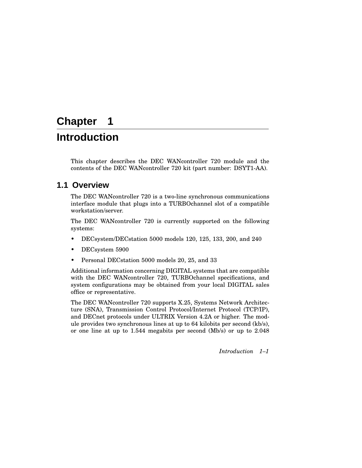## **Chapter 1**

## **Introduction**

This chapter describes the DEC WANcontroller 720 module and the contents of the DEC WANcontroller 720 kit (part number: DSYT1-AA).

### **1.1 Overview**

The DEC WANcontroller 720 is a two-line synchronous communications interface module that plugs into a TURBOchannel slot of a compatible workstation/server.

The DEC WANcontroller 720 is currently supported on the following systems:

- DECsystem/DECstation 5000 models 120, 125, 133, 200, and 240
- DECsystem 5900
- Personal DECstation 5000 models 20, 25, and 33

Additional information concerning DIGITAL systems that are compatible with the DEC WANcontroller 720, TURBOchannel specifications, and system configurations may be obtained from your local DIGITAL sales office or representative.

The DEC WANcontroller 720 supports X.25, Systems Network Architecture (SNA), Transmission Control Protocol/Internet Protocol (TCP/IP), and DECnet protocols under ULTRIX Version 4.2A or higher. The module provides two synchronous lines at up to 64 kilobits per second (kb/s), or one line at up to 1.544 megabits per second (Mb/s) or up to 2.048

*Introduction 1–1*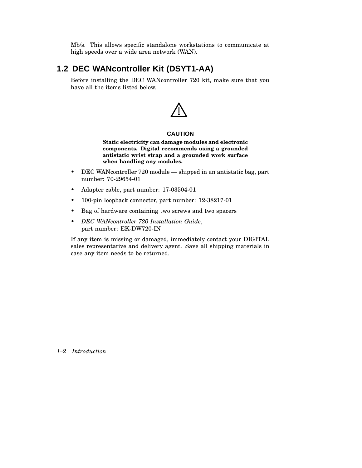Mb/s. This allows specific standalone workstations to communicate at high speeds over a wide area network (WAN).

## **1.2 DEC WANcontroller Kit (DSYT1-AA)**

Before installing the DEC WANcontroller 720 kit, make sure that you have all the items listed below.



#### **CAUTION**

**Static electricity can damage modules and electronic components. Digital recommends using a grounded antistatic wrist strap and a grounded work surface when handling any modules.**

- DEC WANcontroller 720 module shipped in an antistatic bag, part number: 70-29654-01
- Adapter cable, part number: 17-03504-01
- 100-pin loopback connector, part number: 12-38217-01
- Bag of hardware containing two screws and two spacers
- *DEC WANcontroller 720 Installation Guide*, part number: EK-DW720-IN

If any item is missing or damaged, immediately contact your DIGITAL sales representative and delivery agent. Save all shipping materials in case any item needs to be returned.

*1–2 Introduction*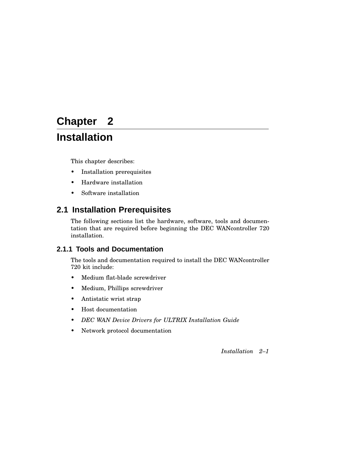## **Chapter 2**

## **Installation**

This chapter describes:

- Installation prerequisites
- Hardware installation
- Software installation

## **2.1 Installation Prerequisites**

The following sections list the hardware, software, tools and documentation that are required before beginning the DEC WANcontroller 720 installation.

### **2.1.1 Tools and Documentation**

The tools and documentation required to install the DEC WANcontroller 720 kit include:

- Medium flat-blade screwdriver
- Medium, Phillips screwdriver
- Antistatic wrist strap
- Host documentation
- *DEC WAN Device Drivers for ULTRIX Installation Guide*
- Network protocol documentation

*Installation 2–1*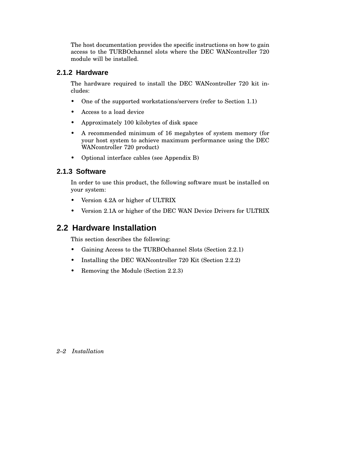The host documentation provides the specific instructions on how to gain access to the TURBOchannel slots where the DEC WANcontroller 720 module will be installed.

#### **2.1.2 Hardware**

The hardware required to install the DEC WANcontroller 720 kit includes:

- One of the supported workstations/servers (refer to Section 1.1)
- Access to a load device
- Approximately 100 kilobytes of disk space
- A recommended minimum of 16 megabytes of system memory (for your host system to achieve maximum performance using the DEC WANcontroller 720 product)
- Optional interface cables (see Appendix B)

### **2.1.3 Software**

In order to use this product, the following software must be installed on your system:

- Version 4.2A or higher of ULTRIX
- Version 2.1A or higher of the DEC WAN Device Drivers for ULTRIX

### **2.2 Hardware Installation**

This section describes the following:

- Gaining Access to the TURBOchannel Slots (Section 2.2.1)
- Installing the DEC WANcontroller 720 Kit (Section 2.2.2)
- Removing the Module (Section 2.2.3)

#### *2–2 Installation*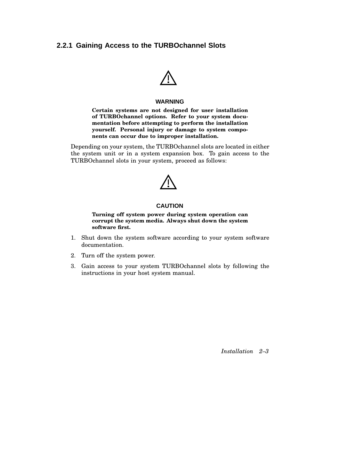#### **2.2.1 Gaining Access to the TURBOchannel Slots**



#### **WARNING**

**Certain systems are not designed for user installation of TURBOchannel options. Refer to your system documentation before attempting to perform the installation yourself. Personal injury or damage to system components can occur due to improper installation.**

Depending on your system, the TURBOchannel slots are located in either the system unit or in a system expansion box. To gain access to the TURBOchannel slots in your system, proceed as follows:



#### **CAUTION**

**Turning off system power during system operation can corrupt the system media. Always shut down the system software first.**

- 1. Shut down the system software according to your system software documentation.
- 2. Turn off the system power.
- 3. Gain access to your system TURBOchannel slots by following the instructions in your host system manual.

*Installation 2–3*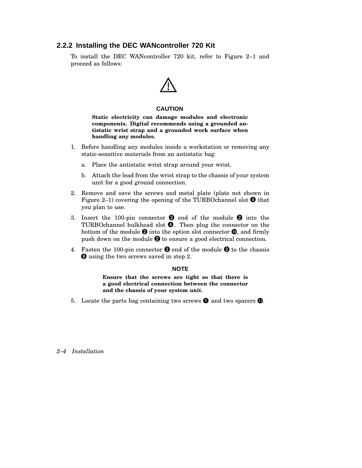#### **2.2.2 Installing the DEC WANcontroller 720 Kit**

To install the DEC WANcontroller 720 kit, refer to Figure 2–1 and proceed as follows:



#### **CAUTION**

**Static electricity can damage modules and electronic components. Digital recommends using a grounded antistatic wrist strap and a grounded work surface when handling any modules.**

- 1. Before handling any modules inside a workstation or removing any static-sensitive materials from an antistatic bag:
	- a. Place the antistatic wrist strap around your wrist.
	- b. Attach the lead from the wrist strap to the chassis of your system unit for a good ground connection.
- 2. Remove and save the screws and metal plate (plate not shown in Figure 2–1) covering the opening of the TURBOchannel slot  $\bullet$  that you plan to use.
- 3. Insert the 100-pin connector  $\bullet$  end of the module  $\bullet$  into the TURBOchannel bulkhead slot  $\bullet$ . Then plug the connector on the bottom of the module  $\bm{\Theta}$  into the option slot connector  $\bm{\mathbb{O}}$ , and firmly push down on the module  $\bm{\Theta}$  to ensure a good electrical connection.
- 4. Fasten the 100-pin connector  $\bullet$  end of the module  $\bullet$  to the chassis **O** using the two screws saved in step 2.

#### **NOTE**

**Ensure that the screws are tight so that there is a good electrical connection between the connector and the chassis of your system unit.**

5. Locate the parts bag containing two screws  $\bullet$  and two spacers  $\bullet$ .

#### *2–4 Installation*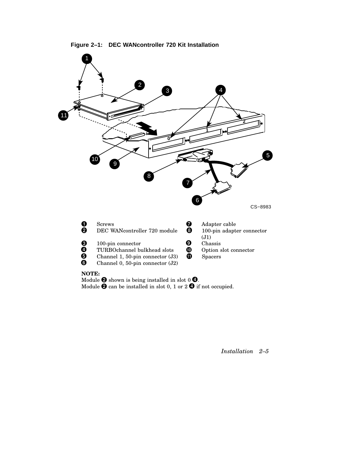



Module  $\bm{\Theta}$  shown is being installed in slot 0  $\bm{\Theta}$ . Module  $\bm{\Theta}$  can be installed in slot 0, 1 or 2  $\bm{\Theta}$  if not occupied.

*Installation 2–5*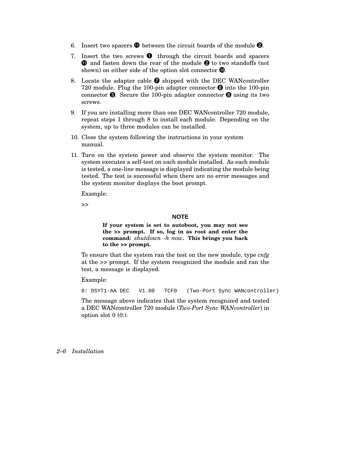- 6. Insert two spacers  $\blacksquare$  between the circuit boards of the module  $\blacksquare$ .
- 7. Insert the two screws  $\bullet$  through the circuit boards and spacers  $\bm{0}$  and fasten down the rear of the module  $\bm{0}$  to two standoffs (not shown) on either side of the option slot connector  $\mathbf{C}$ .
- 8. Locate the adapter cable  $\bullet$  shipped with the DEC WAN controller 720 module. Plug the 100-pin adapter connector  $\Theta$  into the 100-pin connector  $\Theta$ . Secure the 100-pin adapter connector  $\Theta$  using its two screws.
- 9. If you are installing more than one DEC WANcontroller 720 module, repeat steps 1 through 8 to install each module. Depending on the system, up to three modules can be installed.
- 10. Close the system following the instructions in your system manual.
- 11. Turn on the system power and observe the system monitor. The system executes a self-test on each module installed. As each module is tested, a one-line message is displayed indicating the module being tested. The test is successful when there are no error messages and the system monitor displays the boot prompt.

Example:

>>

#### **NOTE**

**If your system is set to autoboot, you may not see the >> prompt. If so, log in as root and enter the command:** *shutdown -h now***. This brings you back to the >> prompt.**

To ensure that the system ran the test on the new module, type *cnfg* at the *>>* prompt. If the system recognized the module and ran the test, a message is displayed.

Example:

0: DSYT1-AA DEC V1.00 TCF0 (Two-Port Sync WANcontroller)

The message above indicates that the system recognized and tested a DEC WANcontroller 720 module (*Two-Port Sync WANcontroller*) in option slot 0 (*0:*).

*2–6 Installation*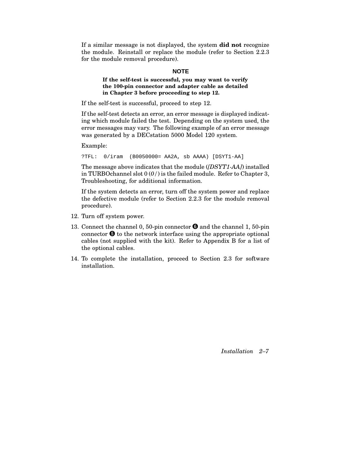If a similar message is not displayed, the system **did not** recognize the module. Reinstall or replace the module (refer to Section 2.2.3 for the module removal procedure).

#### **NOTE**

#### **If the self-test is successful, you may want to verify the 100-pin connector and adapter cable as detailed in Chapter 3 before proceeding to step 12.**

If the self-test is successful, proceed to step 12.

If the self-test detects an error, an error message is displayed indicating which module failed the test. Depending on the system used, the error messages may vary. The following example of an error message was generated by a DECstation 5000 Model 120 system.

#### Example:

?TFL: 0/iram (B0050000= AA2A, sb AAAA) [DSYT1-AA]

The message above indicates that the module (*[DSYT1-AA]*) installed in TURBOchannel slot 0 (*0/*) is the failed module. Refer to Chapter 3, Troubleshooting, for additional information.

If the system detects an error, turn off the system power and replace the defective module (refer to Section 2.2.3 for the module removal procedure).

- 12. Turn off system power.
- 13. Connect the channel 0, 50-pin connector  $\bullet$  and the channel 1, 50-pin connector  $\Theta$  to the network interface using the appropriate optional cables (not supplied with the kit). Refer to Appendix B for a list of the optional cables.
- 14. To complete the installation, proceed to Section 2.3 for software installation.

*Installation 2–7*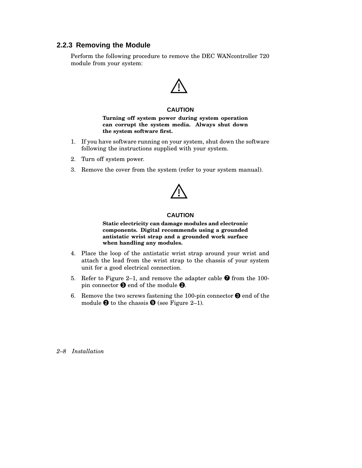### **2.2.3 Removing the Module**

Perform the following procedure to remove the DEC WANcontroller 720 module from your system:



#### **CAUTION**

**Turning off system power during system operation can corrupt the system media. Always shut down the system software first.**

- 1. If you have software running on your system, shut down the software following the instructions supplied with your system.
- 2. Turn off system power.
- 3. Remove the cover from the system (refer to your system manual).



#### **CAUTION**

**Static electricity can damage modules and electronic components. Digital recommends using a grounded antistatic wrist strap and a grounded work surface when handling any modules.**

- 4. Place the loop of the antistatic wrist strap around your wrist and attach the lead from the wrist strap to the chassis of your system unit for a good electrical connection.
- 5. Refer to Figure 2–1, and remove the adapter cable  $\bullet$  from the 100pin connector  $\bm{\Theta}$  end of the module  $\bm{\Theta}$ .
- 6. Remove the two screws fastening the 100-pin connector  $\bigcirc$  end of the module  $\Theta$  to the chassis  $\Theta$  (see Figure 2–1).

*2–8 Installation*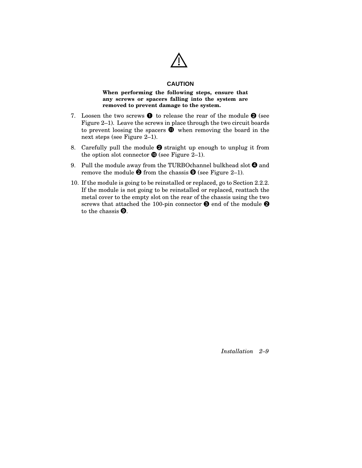

#### **CAUTION**

#### **When performing the following steps, ensure that any screws or spacers falling into the system are removed to prevent damage to the system.**

- 7. Loosen the two screws  $\bullet$  to release the rear of the module  $\bullet$  (see Figure 2–1). Leave the screws in place through the two circuit boards to prevent loosing the spacers  $\mathbf 0$  when removing the board in the next steps (see Figure 2–1).
- 8. Carefully pull the module  $\bullet$  straight up enough to unplug it from the option slot connector  $\mathbf{C}$  (see Figure 2–1).
- 9. Pull the module away from the TURBOchannel bulkhead slot  $\bm{\Theta}$  and remove the module  $\Theta$  from the chassis  $\Theta$  (see Figure 2–1).
- 10. If the module is going to be reinstalled or replaced, go to Section 2.2.2. If the module is not going to be reinstalled or replaced, reattach the metal cover to the empty slot on the rear of the chassis using the two screws that attached the 100-pin connector  $\Theta$  end of the module  $\Theta$ to the chassis  $\mathbf{\Theta}$ .

*Installation 2–9*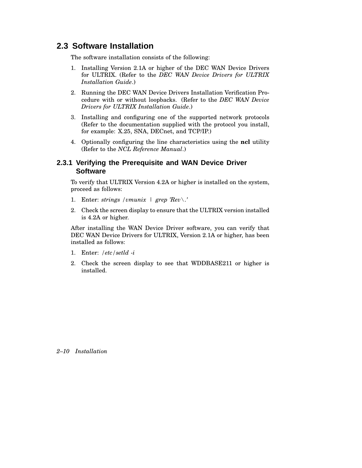### **2.3 Software Installation**

The software installation consists of the following:

- 1. Installing Version 2.1A or higher of the DEC WAN Device Drivers for ULTRIX. (Refer to the *DEC WAN Device Drivers for ULTRIX Installation Guide*.)
- 2. Running the DEC WAN Device Drivers Installation Verification Procedure with or without loopbacks. (Refer to the *DEC WAN Device Drivers for ULTRIX Installation Guide*.)
- 3. Installing and configuring one of the supported network protocols (Refer to the documentation supplied with the protocol you install, for example: X.25, SNA, DECnet, and TCP/IP.)
- 4. Optionally configuring the line characteristics using the **ncl** utility (Refer to the *NCL Reference Manual*.)

### **2.3.1 Verifying the Prerequisite and WAN Device Driver Software**

To verify that ULTRIX Version 4.2A or higher is installed on the system, proceed as follows:

- 1. Enter: *strings /vmunix | grep 'Rev\.'*
- 2. Check the screen display to ensure that the ULTRIX version installed is 4.2A or higher.

After installing the WAN Device Driver software, you can verify that DEC WAN Device Drivers for ULTRIX, Version 2.1A or higher, has been installed as follows:

- 1. Enter: */etc/setld -i*
- 2. Check the screen display to see that WDDBASE211 or higher is installed.

#### *2–10 Installation*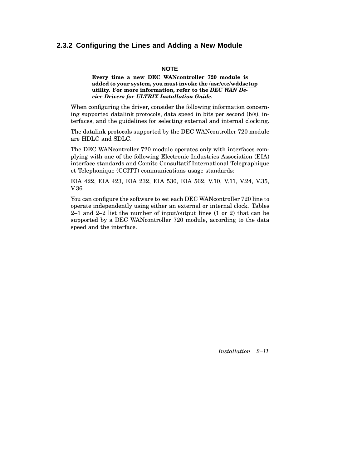#### **2.3.2 Configuring the Lines and Adding a New Module**

#### **NOTE**

#### **Every time a new DEC WANcontroller 720 module is added to your system, you must invoke the /usr/etc/wddsetup utility. For more information, refer to the** *DEC WAN Device Drivers for ULTRIX Installation Guide.*

When configuring the driver, consider the following information concerning supported datalink protocols, data speed in bits per second (b/s), interfaces, and the guidelines for selecting external and internal clocking.

The datalink protocols supported by the DEC WANcontroller 720 module are HDLC and SDLC.

The DEC WANcontroller 720 module operates only with interfaces complying with one of the following Electronic Industries Association (EIA) interface standards and Comite Consultatif International Telegraphique et Telephonique (CCITT) communications usage standards:

EIA 422, EIA 423, EIA 232, EIA 530, EIA 562, V.10, V.11, V.24, V.35, V.36

You can configure the software to set each DEC WANcontroller 720 line to operate independently using either an external or internal clock. Tables 2–1 and 2–2 list the number of input/output lines (1 or 2) that can be supported by a DEC WANcontroller 720 module, according to the data speed and the interface.

*Installation 2–11*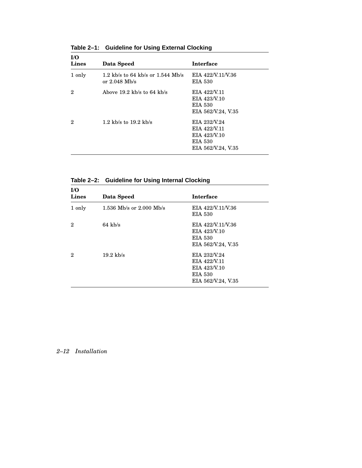| I/O<br><b>Lines</b> | Data Speed                                           | <b>Interface</b>                                                                     |
|---------------------|------------------------------------------------------|--------------------------------------------------------------------------------------|
| 1 only              | 1.2 kb/s to 64 kb/s or 1.544 Mb/s<br>or $2.048$ Mb/s | EIA 422/V.11/V.36<br>EIA 530                                                         |
| 2                   | Above $19.2$ kb/s to 64 kb/s                         | EIA 422/V.11<br>EIA 423/V.10<br><b>EIA 530</b><br>EIA 562/V.24, V.35                 |
| 2                   | 1.2 kb/s to $19.2$ kb/s                              | EIA 232/V.24<br>EIA 422/V.11<br>EIA 423/V.10<br><b>EIA 530</b><br>EIA 562/V.24, V.35 |

**Table 2–1: Guideline for Using External Clocking**

| I/O<br>Lines | Data Speed                 | <b>Interface</b>                                                              |
|--------------|----------------------------|-------------------------------------------------------------------------------|
| 1 only       | 1.536 Mb/s or $2.000$ Mb/s | EIA 422/V.11/V.36<br>EIA 530                                                  |
| 2            | $64 \text{ kb/s}$          | EIA 422/V.11/V.36<br>EIA 423/V.10<br><b>EIA 530</b><br>EIA 562/V.24, V.35     |
| 2            | $19.2 \text{ kb/s}$        | EIA 232/V.24<br>EIA 422/V.11<br>EIA 423/V.10<br>EIA 530<br>EIA 562/V.24, V.35 |

### *2–12 Installation*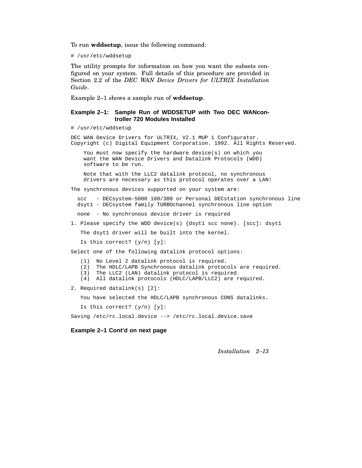To run **wddsetup**, issue the following command:

# /usr/etc/wddsetup

The utility prompts for information on how you want the subsets configured on your system. Full details of this procedure are provided in Section 2.2 of the *DEC WAN Device Drivers for ULTRIX Installation Guide*.

Example 2–1 shows a sample run of **wddsetup**.

#### **Example 2–1: Sample Run of WDDSETUP with Two DEC WANcontroller 720 Modules Installed**

# /usr/etc/wddsetup

DEC WAN Device Drivers for ULTRIX, V2.1 MUP 1 Configurator. Copyright (c) Digital Equipment Corporation. 1992. All Rights Reserved.

You must now specify the hardware device(s) on which you want the WAN Device Drivers and Datalink Protocols (WDD) software to be run.

Note that with the LLC2 datalink protocol, no synchronous drivers are necessary as this protocol operates over a LAN!

The synchronous devices supported on your system are:

scc - DECsystem-5000 100/300 or Personal DECstation synchronous line dsyt1 - DECsystem family TURBOchannel synchronous line option

none - No synchronous device driver is required

1. Please specify the WDD device(s) {dsyt1 scc none}. [scc]: dsyt1

The dsyt1 driver will be built into the kernel.

Is this correct?  $(y/n)$  [y]:

Select one of the following datalink protocol options:

(1) No Level 2 datalink protocol is required.

(2) The HDLC/LAPB Synchronous datalink protocols are required.

(3) The LLC2 (LAN) datalink protocol is required.

(4) All datalink protocols (HDLC/LAPB/LLC2) are required.

2. Required datalink(s) [2]:

You have selected the HDLC/LAPB synchronous CONS datalinks.

Is this correct?  $(y/n)$  [y]:

Saving /etc/rc.local.device --> /etc/rc.local.device.save

**Example 2–1 Cont'd on next page**

*Installation 2–13*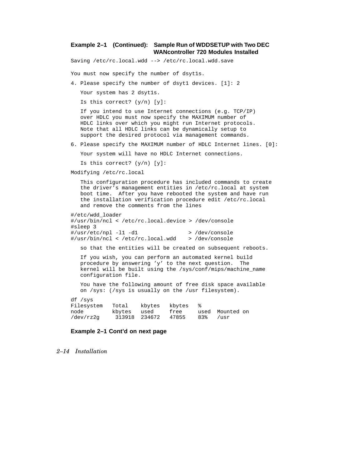#### **Example 2–1 (Continued): Sample Run of WDDSETUP with Two DEC WANcontroller 720 Modules Installed**

Saving /etc/rc.local.wdd --> /etc/rc.local.wdd.save

You must now specify the number of dsytls.

4. Please specify the number of dsyt1 devices. [1]: 2

Your system has 2 dsyt1s.

Is this correct? (y/n) [y]:

If you intend to use Internet connections (e.g. TCP/IP) over HDLC you must now specify the MAXIMUM number of HDLC links over which you might run Internet protocols. Note that all HDLC links can be dynamically setup to support the desired protocol via management commands.

6. Please specify the MAXIMUM number of HDLC Internet lines. [0]:

Your system will have no HDLC Internet connections.

Is this correct?  $(y/n)$  [y]:

Modifying /etc/rc.local

This configuration procedure has included commands to create the driver's management entities in /etc/rc.local at system boot time. After you have rebooted the system and have run the installation verification procedure edit /etc/rc.local and remove the comments from the lines

```
#/etc/wdd_loader
#/usr/bin/ncl < /etc/rc.local.device > /dev/console
#sleep 3
\frac{4}{\text{vsr/etc}}/npl -11 -d1 > /dev/console
#/usr/bin/ncl < /etc/rc.local.wdd > /dev/console
```
so that the entities will be created on subsequent reboots.

If you wish, you can perform an automated kernel build procedure by answering 'y' to the next question. The kernel will be built using the /sys/conf/mips/machine\_name configuration file.

You have the following amount of free disk space available on /sys: (/sys is usually on the /usr filesystem).

df /sys

Filesystem Total kbytes kbytes % node kbytes used free used Mounted on<br>
/dev/rz2q 313918 234672 47855 83% /usr /dev/rz2g 313918 234672 47855 83% /usr

**Example 2–1 Cont'd on next page**

#### *2–14 Installation*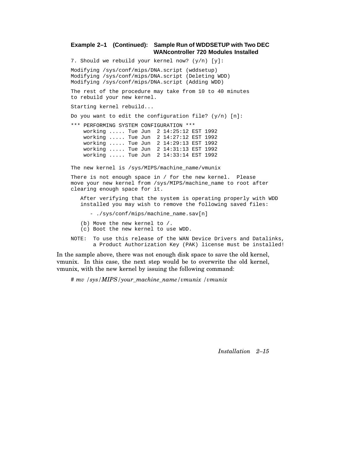#### **Example 2–1 (Continued): Sample Run of WDDSETUP with Two DEC WANcontroller 720 Modules Installed**

7. Should we rebuild your kernel now? (y/n) [y]:

Modifying /sys/conf/mips/DNA.script (wddsetup) Modifying /sys/conf/mips/DNA.script (Deleting WDD) Modifying /sys/conf/mips/DNA.script (Adding WDD)

The rest of the procedure may take from 10 to 40 minutes to rebuild your new kernel.

Starting kernel rebuild...

Do you want to edit the configuration file?  $(y/n)$  [n]:

\*\*\* PERFORMING SYSTEM CONFIGURATION \*\*\* working ..... Tue Jun 2 14:25:12 EST 1992 working ..... Tue Jun 2 14:27:12 EST 1992 working ..... Tue Jun 2 14:29:13 EST 1992 working ..... Tue Jun 2 14:31:13 EST 1992 working ..... Tue Jun 2 14:33:14 EST 1992

The new kernel is /sys/MIPS/machine\_name/vmunix

There is not enough space in / for the new kernel. Please move your new kernel from /sys/MIPS/machine\_name to root after clearing enough space for it.

After verifying that the system is operating properly with WDD installed you may wish to remove the following saved files:

- ./sys/conf/mips/machine name.sav[n]

- (b) Move the new kernel to /.
- (c) Boot the new kernel to use WDD.
- NOTE: To use this release of the WAN Device Drivers and Datalinks, a Product Authorization Key (PAK) license must be installed!

In the sample above, there was not enough disk space to save the old kernel, vmunix. In this case, the next step would be to overwrite the old kernel, vmunix, with the new kernel by issuing the following command:

*# mv /sys/MIPS/your\_machine\_name/vmunix /vmunix*

*Installation 2–15*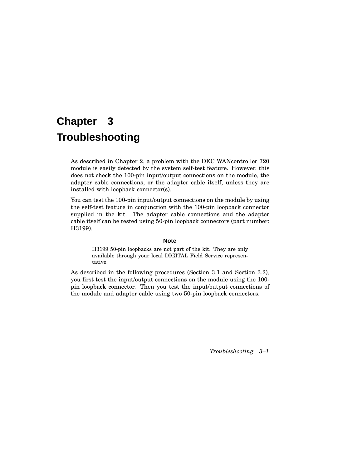## **Chapter 3 Troubleshooting**

As described in Chapter 2, a problem with the DEC WANcontroller 720 module is easily detected by the system self-test feature. However, this does not check the 100-pin input/output connections on the module, the adapter cable connections, or the adapter cable itself, unless they are installed with loopback connector(s).

You can test the 100-pin input/output connections on the module by using the self-test feature in conjunction with the 100-pin loopback connector supplied in the kit. The adapter cable connections and the adapter cable itself can be tested using 50-pin loopback connectors (part number: H3199).

#### **Note**

H3199 50-pin loopbacks are not part of the kit. They are only available through your local DIGITAL Field Service representative.

As described in the following procedures (Section 3.1 and Section 3.2), you first test the input/output connections on the module using the 100 pin loopback connector. Then you test the input/output connections of the module and adapter cable using two 50-pin loopback connectors.

*Troubleshooting 3–1*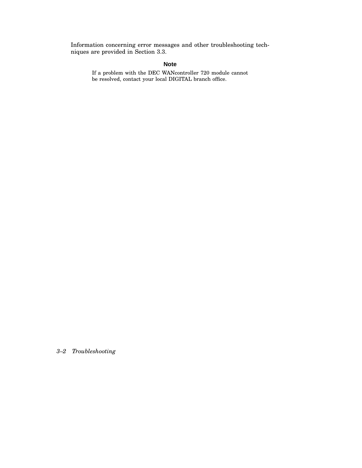Information concerning error messages and other troubleshooting techniques are provided in Section 3.3.

#### **Note**

If a problem with the DEC WANcontroller 720 module cannot be resolved, contact your local DIGITAL branch office.

*3–2 Troubleshooting*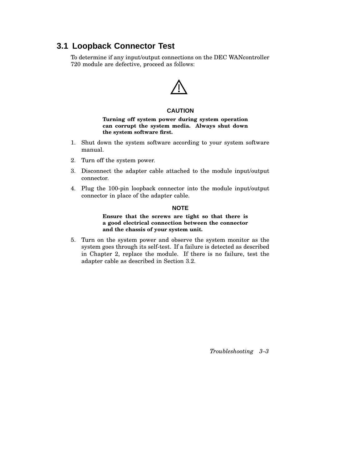## **3.1 Loopback Connector Test**

To determine if any input/output connections on the DEC WANcontroller 720 module are defective, proceed as follows:



#### **CAUTION**

**Turning off system power during system operation can corrupt the system media. Always shut down the system software first.**

- 1. Shut down the system software according to your system software manual.
- 2. Turn off the system power.
- 3. Disconnect the adapter cable attached to the module input/output connector.
- 4. Plug the 100-pin loopback connector into the module input/output connector in place of the adapter cable.

#### **NOTE**

#### **Ensure that the screws are tight so that there is a good electrical connection between the connector and the chassis of your system unit.**

5. Turn on the system power and observe the system monitor as the system goes through its self-test. If a failure is detected as described in Chapter 2, replace the module. If there is no failure, test the adapter cable as described in Section 3.2.

*Troubleshooting 3–3*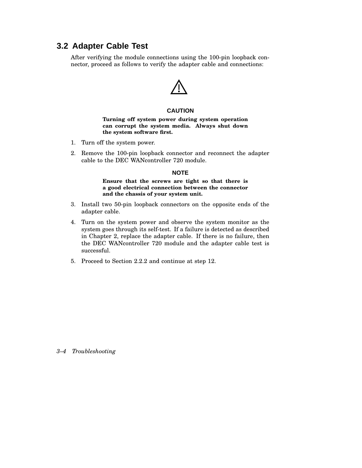### **3.2 Adapter Cable Test**

After verifying the module connections using the 100-pin loopback connector, proceed as follows to verify the adapter cable and connections:



#### **CAUTION**

**Turning off system power during system operation can corrupt the system media. Always shut down the system software first.**

- 1. Turn off the system power.
- 2. Remove the 100-pin loopback connector and reconnect the adapter cable to the DEC WANcontroller 720 module.

#### **NOTE**

#### **Ensure that the screws are tight so that there is a good electrical connection between the connector and the chassis of your system unit.**

- 3. Install two 50-pin loopback connectors on the opposite ends of the adapter cable.
- 4. Turn on the system power and observe the system monitor as the system goes through its self-test. If a failure is detected as described in Chapter 2, replace the adapter cable. If there is no failure, then the DEC WANcontroller 720 module and the adapter cable test is successful.
- 5. Proceed to Section 2.2.2 and continue at step 12.

*3–4 Troubleshooting*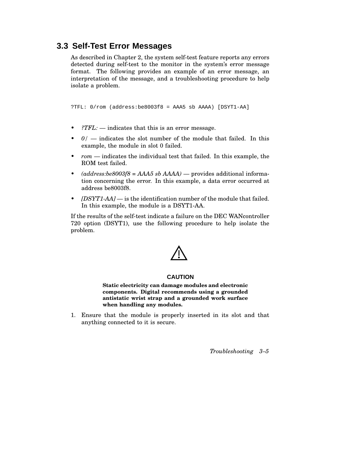### **3.3 Self-Test Error Messages**

As described in Chapter 2, the system self-test feature reports any errors detected during self-test to the monitor in the system's error message format. The following provides an example of an error message, an interpretation of the message, and a troubleshooting procedure to help isolate a problem.

?TFL: 0/rom (address:be8003f8 = AAA5 sb AAAA) [DSYT1-AA]

- *?TFL:* indicates that this is an error message.
- *0/* indicates the slot number of the module that failed. In this example, the module in slot 0 failed.
- *rom* indicates the individual test that failed. In this example, the ROM test failed.
- *(address:be8003f8 = AAA5 sb AAAA)* provides additional information concerning the error. In this example, a data error occurred at address be8003f8.
- *[DSYT1-AA]* is the identification number of the module that failed. In this example, the module is a DSYT1-AA.

If the results of the self-test indicate a failure on the DEC WANcontroller 720 option (DSYT1), use the following procedure to help isolate the problem.

#### **CAUTION**

**Static electricity can damage modules and electronic components. Digital recommends using a grounded antistatic wrist strap and a grounded work surface when handling any modules.**

1. Ensure that the module is properly inserted in its slot and that anything connected to it is secure.

*Troubleshooting 3–5*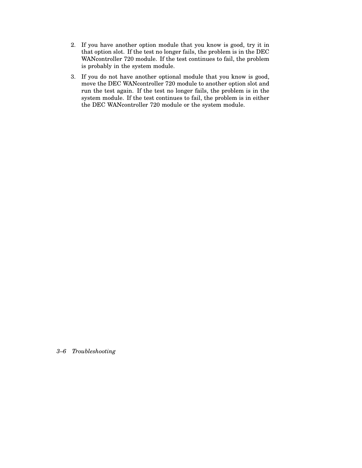- 2. If you have another option module that you know is good, try it in that option slot. If the test no longer fails, the problem is in the DEC WANcontroller 720 module. If the test continues to fail, the problem is probably in the system module.
- 3. If you do not have another optional module that you know is good, move the DEC WANcontroller 720 module to another option slot and run the test again. If the test no longer fails, the problem is in the system module. If the test continues to fail, the problem is in either the DEC WANcontroller 720 module or the system module.

*3–6 Troubleshooting*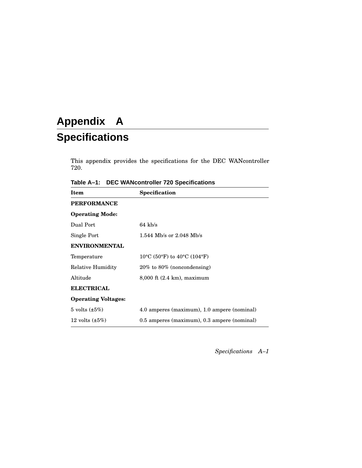## **Appendix A Specifications**

This appendix provides the specifications for the DEC WANcontroller 720.

**Table A–1: DEC WANcontroller 720 Specifications**

| <b>Item</b>                  | Specification                                                                   |
|------------------------------|---------------------------------------------------------------------------------|
| <b>PERFORMANCE</b>           |                                                                                 |
| <b>Operating Mode:</b>       |                                                                                 |
| Dual Port                    | $64 \text{ kb/s}$                                                               |
| Single Port                  | 1.544 Mb/s or $2.048$ Mb/s                                                      |
| <b>ENVIRONMENTAL</b>         |                                                                                 |
| Temperature                  | 10 <sup>o</sup> C (50 <sup>o</sup> F) to 40 <sup>o</sup> C (104 <sup>o</sup> F) |
| Relative Humidity            | $20\%$ to $80\%$ (noncondensing)                                                |
| Altitude                     | $8,000$ ft $(2.4 \text{ km})$ , maximum                                         |
| <b>ELECTRICAL</b>            |                                                                                 |
| <b>Operating Voltages:</b>   |                                                                                 |
| $5 \text{ volts } (\pm 5\%)$ | 4.0 amperes (maximum), 1.0 ampere (nominal)                                     |
| 12 volts $(\pm 5\%)$         | 0.5 amperes (maximum), 0.3 ampere (nominal)                                     |

*Specifications A–1*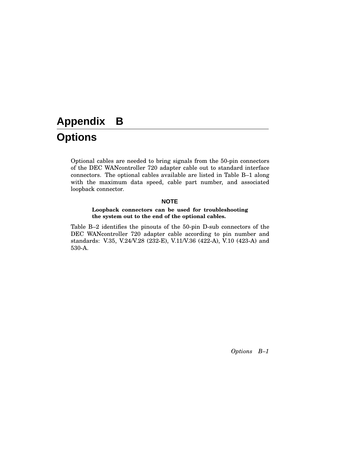## **Appendix B**

## **Options**

Optional cables are needed to bring signals from the 50-pin connectors of the DEC WANcontroller 720 adapter cable out to standard interface connectors. The optional cables available are listed in Table B–1 along with the maximum data speed, cable part number, and associated loopback connector.

#### **NOTE**

#### **Loopback connectors can be used for troubleshooting the system out to the end of the optional cables.**

Table B–2 identifies the pinouts of the 50-pin D-sub connectors of the DEC WANcontroller 720 adapter cable according to pin number and standards: V.35, V.24/V.28 (232-E), V.11/V.36 (422-A), V.10 (423-A) and 530-A.

*Options B–1*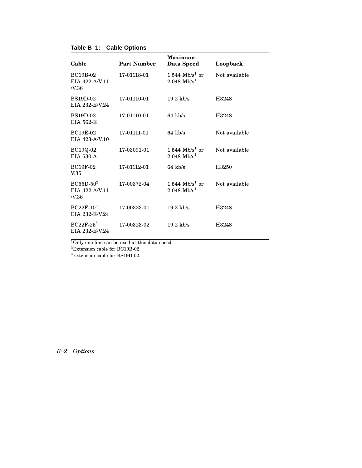|  |  |  | Table B-1: Cable Options |
|--|--|--|--------------------------|
|--|--|--|--------------------------|

| Cable                                             | <b>Part Number</b>                                                                                                                                                                                                                 | <b>Maximum</b><br>Data Speed                         | Loopback      |
|---------------------------------------------------|------------------------------------------------------------------------------------------------------------------------------------------------------------------------------------------------------------------------------------|------------------------------------------------------|---------------|
| <b>BC19B-02</b><br>EIA 422-A/V.11<br><i>N.</i> 36 | 17-01118-01                                                                                                                                                                                                                        | 1.544 $Mb/s1$ or<br>$2.048 \text{ Mb/s}^1$           | Not available |
| <b>BS19D-02</b><br>EIA 232-E/V.24                 | 17-01110-01                                                                                                                                                                                                                        | $19.2$ kb/s                                          | H3248         |
| <b>BS19D-02</b><br>EIA 562-E                      | 17-01110-01                                                                                                                                                                                                                        | $64$ kb/s                                            | H3248         |
| <b>BC19E-02</b><br>EIA 423-A/V.10                 | 17-01111-01                                                                                                                                                                                                                        | $64$ kb/s                                            | Not available |
| BC19Q-02<br>EIA 530-A                             | 17-03091-01                                                                                                                                                                                                                        | 1.544 $Mb/s1$ or<br>$2.048 \text{ Mb/s}^1$           | Not available |
| <b>BC19F-02</b><br>V.35                           | 17-01112-01                                                                                                                                                                                                                        | $64$ kb/s                                            | H3250         |
| $BC55D-502$<br>EIA 422-A/V.11<br>N.36             | 17-00372-04                                                                                                                                                                                                                        | 1.544 Mb/s <sup>1</sup> or<br>$2.048 \text{ Mb/s}^1$ | Not available |
| $BC22F-103$<br>EIA 232-E/V.24                     | 17-00323-01                                                                                                                                                                                                                        | $19.2$ kb/s                                          | H3248         |
| $BC22F-25^3$<br>EIA 232-E/V.24                    | 17-00323-02                                                                                                                                                                                                                        | $19.2$ kb/s                                          | H3248         |
|                                                   | $1 \alpha$ . The contract of the contract of the state of the contract of the contract of the contract of the contract of the contract of the contract of the contract of the contract of the contract of the contract of the cont | - 31                                                 |               |

<sup>1</sup>Only one line can be used at this data speed. <sup>2</sup>Extension cable for BC19B-02.

<sup>3</sup>Extension cable for BS19D-02.

### *B–2 Options*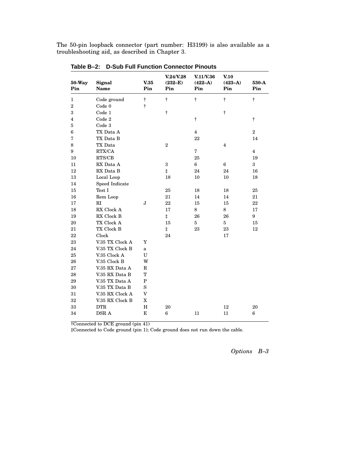The 50-pin loopback connector (part number: H3199) is also available as a troubleshooting aid, as described in Chapter 3.

| <b>50-Way</b><br>Pin | Signal<br>Name  | V.35<br>Pin               | V.24/V.28<br>$(232-E)$<br>Pin | V.11/V.36<br>$(422-A)$<br>Pin | V.10<br>$(423-A)$<br>Pin | 530-A<br>Pin     |
|----------------------|-----------------|---------------------------|-------------------------------|-------------------------------|--------------------------|------------------|
| 1                    | Code ground     | $^\dagger$                | $\dagger$                     | $\ddagger$                    | $\dagger$                | $\ddagger$       |
| $\overline{2}$       | Code 0          | $\ddagger$                |                               |                               |                          |                  |
| 3                    | Code 1          |                           | $\dagger$                     |                               | $^\dagger$               |                  |
| 4                    | Code 2          |                           |                               | $\dagger$                     |                          | $\dagger$        |
| 5                    | Code 3          |                           |                               |                               |                          |                  |
| $6\phantom{.}6$      | TX Data A       |                           |                               | $\overline{4}$                |                          | $\,2$            |
| 7                    | TX Data B       |                           |                               | 22                            |                          | 14               |
| 8                    | TX Data         |                           | $\overline{2}$                |                               | $\overline{\mathbf{4}}$  |                  |
| 9                    | RTX/CA          |                           |                               | 7                             |                          | $\overline{4}$   |
| 10                   | RTS/CB          |                           |                               | 25                            |                          | 19               |
| 11                   | RX Data A       |                           | 3                             | $\bf 6$                       | 6                        | $\boldsymbol{3}$ |
| 12                   | RX Data B       |                           | $\ddagger$                    | 24                            | 24                       | 16               |
| 13                   | Local Loop      |                           | 18                            | 10                            | 10                       | 18               |
| 14                   | Speed Indicate  |                           |                               |                               |                          |                  |
| 15                   | Test I          |                           | 25                            | 18                            | 18                       | 25               |
| 16                   | Rem Loop        |                           | 21                            | 14                            | 14                       | 21               |
| 17                   | RI              | J                         | 22                            | 15                            | 15                       | 22               |
| 18                   | RX Clock A      |                           | 17                            | 8                             | 8                        | 17               |
| 19                   | RX Clock B      |                           | $\ddagger$                    | 26                            | 26                       | 9                |
| 20                   | TX Clock A      |                           | $15\,$                        | 5                             | $\overline{5}$           | 15               |
| 21                   | TX Clock B      |                           | $\ddagger$                    | 23                            | $\bf 23$                 | 12               |
| 22                   | Clock           |                           | 24                            |                               | 17                       |                  |
| 23                   | V.35 TX Clock A | Y                         |                               |                               |                          |                  |
| 24                   | V.35 TX Clock B | a                         |                               |                               |                          |                  |
| 25                   | V.35 Clock A    | U                         |                               |                               |                          |                  |
| 26                   | V.35 Clock B    | W                         |                               |                               |                          |                  |
| 27                   | V.35 RX Data A  | $\mathbf R$               |                               |                               |                          |                  |
| 28                   | V.35 RX Data B  | T                         |                               |                               |                          |                  |
| 29                   | V.35 TX Data A  | $\, {\bf P}$              |                               |                               |                          |                  |
| 30                   | V.35 TX Data B  | $\rm S$                   |                               |                               |                          |                  |
| 31                   | V.35 RX Clock A | $\boldsymbol{\mathrm{V}}$ |                               |                               |                          |                  |
| 32                   | V.35 RX Clock B | $\mathbf X$               |                               |                               |                          |                  |
| 33                   | <b>DTR</b>      | H                         | 20                            |                               | 12                       | 20               |
| 34                   | DSR A           | E                         | $6\phantom{.0}$               | 11                            | 11                       | 6                |

**Table B–2: D-Sub Full Function Connector Pinouts**

†Connected to DCE ground (pin 41)

‡Connected to Code ground (pin 1); Code ground does not run down the cable.

*Options B–3*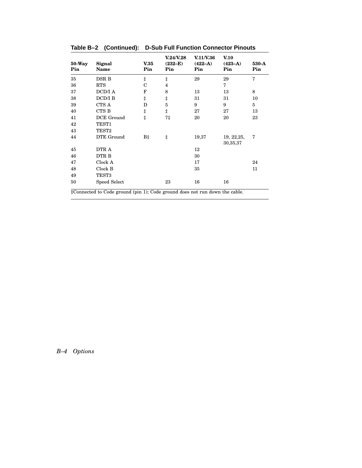| $50-Way$<br>Pin | Signal<br>Name    | V <sub>0.35</sub><br>Pin | <b>V.24/V.28</b><br>$(232-E)$<br>Pin | <b>V.11/V.36</b><br>$(422-A)$<br>Pin | V <sub>0</sub><br>$(423-A)$<br>Pin | 530-A<br>Pin |
|-----------------|-------------------|--------------------------|--------------------------------------|--------------------------------------|------------------------------------|--------------|
| 35              | DSR B             | $\ddagger$               | $\ddagger$                           | 29                                   | 29                                 | 7            |
| 36              | <b>RTS</b>        | $\overline{C}$           | $\overline{4}$                       |                                      | 7                                  |              |
| 37              | <b>DCD/I A</b>    | F                        | 8                                    | 13                                   | 13                                 | 8            |
| 38              | DCD/I B           | $\ddagger$               | $\ddagger$                           | 31                                   | 31                                 | 10           |
| 39              | CTS A             | D                        | $\overline{5}$                       | 9                                    | 9                                  | 5            |
| 40              | CTS B             | $\ddagger$               | $\ddagger$                           | 27                                   | 27                                 | 13           |
| 41              | DCE Ground        | $\ddagger$               | 7‡                                   | 20                                   | 20                                 | 23           |
| 42              | TEST1             |                          |                                      |                                      |                                    |              |
| 43              | TEST <sub>2</sub> |                          |                                      |                                      |                                    |              |
| 44              | DTE Ground        | B‡                       | ŧ                                    | 19,37                                | 19, 22, 25,<br>30,35,37            | 7            |
| 45              | DTR A             |                          |                                      | 12                                   |                                    |              |
| 46              | DTR B             |                          |                                      | 30                                   |                                    |              |
| 47              | Clock A           |                          |                                      | 17                                   |                                    | 24           |
| 48              | Clock B           |                          |                                      | 35                                   |                                    | 11           |
| 49              | TEST3             |                          |                                      |                                      |                                    |              |
| 50              | Speed Select      |                          | 23                                   | 16                                   | 16                                 |              |

**Table B–2 (Continued): D-Sub Full Function Connector Pinouts**

‡Connected to Code ground (pin 1); Code ground does not run down the cable.

### *B–4 Options*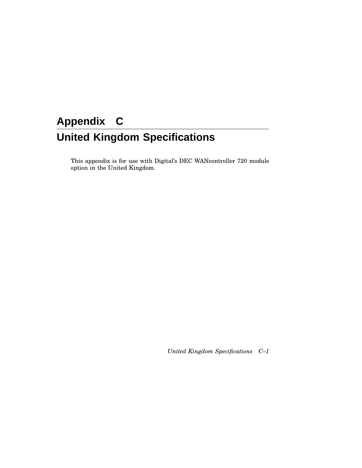## **Appendix C United Kingdom Specifications**

This appendix is for use with Digital's DEC WANcontroller 720 module option in the United Kingdom.

*United Kingdom Specifications C–1*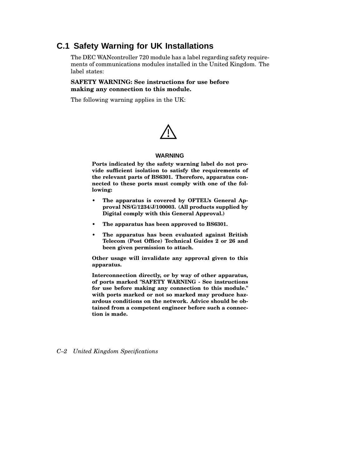## **C.1 Safety Warning for UK Installations**

The DEC WANcontroller 720 module has a label regarding safety requirements of communications modules installed in the United Kingdom. The label states:

#### **SAFETY WARNING: See instructions for use before making any connection to this module.**

The following warning applies in the UK:



#### **WARNING**

**Ports indicated by the safety warning label do not provide sufficient isolation to satisfy the requirements of the relevant parts of BS6301. Therefore, apparatus connected to these ports must comply with one of the following:**

- **• The apparatus is covered by OFTEL's General Approval NS/G/1234/J/100003. (All products supplied by Digital comply with this General Approval.)**
- **• The apparatus has been approved to BS6301.**
- **• The apparatus has been evaluated against British Telecom (Post Office) Technical Guides 2 or 26 and been given permission to attach.**

**Other usage will invalidate any approval given to this apparatus.**

**Interconnection directly, or by way of other apparatus, of ports marked "SAFETY WARNING - See instructions for use before making any connection to this module." with ports marked or not so marked may produce hazardous conditions on the network. Advice should be obtained from a competent engineer before such a connection is made.**

*C–2 United Kingdom Specifications*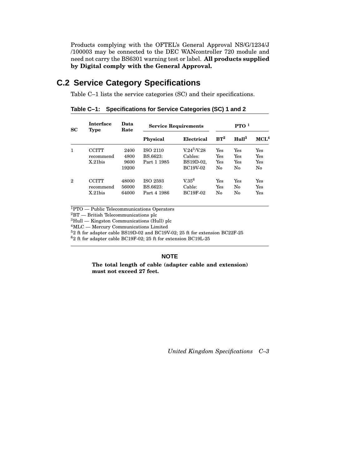Products complying with the OFTEL's General Approval NS/G/1234/J /100003 may be connected to the DEC WANcontroller 720 module and need not carry the BS6301 warning test or label. **All products supplied by Digital comply with the General Approval.**

## **C.2 Service Category Specifications**

Table C–1 lists the service categories (SC) and their specifications.

| SC | <b>Interface</b><br><b>Type</b>  | Data<br>Rate                  | <b>Service Requirements</b>                |                                                   | PTO <sup>1</sup>        |                         |                         |
|----|----------------------------------|-------------------------------|--------------------------------------------|---------------------------------------------------|-------------------------|-------------------------|-------------------------|
|    |                                  |                               | <b>Physical</b>                            | Electrical                                        | $RT^2$                  | Hul1 <sup>3</sup>       | MCL <sup>4</sup>        |
|    | CCITT<br>recommend<br>$X.21$ bis | 2400<br>4800<br>9600<br>19200 | <b>ISO 2110</b><br>BS.6623:<br>Part 1 1985 | $V.24^5/V.28$<br>Cables:<br>BS19D-02,<br>BC19V-02 | Yes<br>Yes<br>Yes<br>No | Yes<br>Yes<br>Yes<br>No | Yes<br>Yes<br>Yes<br>No |
| 2  | ССІТТ<br>recommend<br>$X.21$ bis | 48000<br>56000<br>64000       | ISO 2593<br>BS.6623:<br>Part 4 1986        | V.35 <sup>6</sup><br>Cable:<br><b>BC19F-02</b>    | Yes<br>Yes<br>No        | Yes<br>No<br>No         | Yes<br>Yes<br>Yes       |

**Table C–1: Specifications for Service Categories (SC) 1 and 2**

<sup>1</sup>PTO — Public Telecommunications Operators

 $\mathrm{^{2}BT}$  — British Telecommunications plc

 ${}^{3}$ Hull — Kingston Communications (Hull) plc

<sup>4</sup>MLC — Mercury Communications Limited

<sup>5</sup>2 ft for adapter cable BS19D-02 and BC19V-02; 25 ft for extension BC22F-25

<sup>6</sup>2 ft for adapter cable BC19F-02; 25 ft for extension BC19L-25

#### **NOTE**

**The total length of cable (adapter cable and extension) must not exceed 27 feet.**

*United Kingdom Specifications C–3*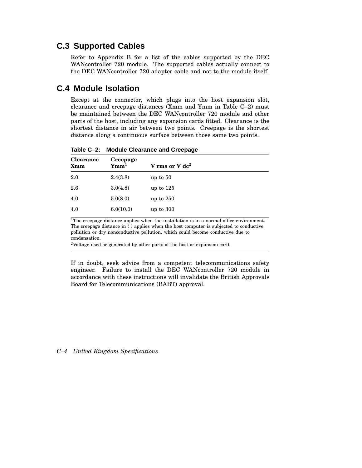## **C.3 Supported Cables**

Refer to Appendix B for a list of the cables supported by the DEC WANcontroller 720 module. The supported cables actually connect to the DEC WANcontroller 720 adapter cable and not to the module itself.

### **C.4 Module Isolation**

Except at the connector, which plugs into the host expansion slot, clearance and creepage distances (Xmm and Ymm in Table C–2) must be maintained between the DEC WANcontroller 720 module and other parts of the host, including any expansion cards fitted. Clearance is the shortest distance in air between two points. Creepage is the shortest distance along a continuous surface between those same two points.

| <b>Clearance</b><br><b>Xmm</b> | Creepage<br>Ymm <sup>1</sup> | V rms or V $dc2$ |
|--------------------------------|------------------------------|------------------|
| 2.0                            | 2.4(3.8)                     | up to $50$       |
| 2.6                            | 3.0(4.8)                     | up to $125$      |
| 4.0                            | 5.0(8.0)                     | up to $250$      |
| 4.0                            | 6.0(10.0)                    | up to $300$      |
|                                |                              |                  |

**Table C–2: Module Clearance and Creepage**

<sup>1</sup>The creepage distance applies when the installation is in a normal office environment. The creepage distance in ( ) applies when the host computer is subjected to conductive pollution or dry nonconductive pollution, which could become conductive due to condensation.

<sup>2</sup>Voltage used or generated by other parts of the host or expansion card.

If in doubt, seek advice from a competent telecommunications safety engineer. Failure to install the DEC WANcontroller 720 module in accordance with these instructions will invalidate the British Approvals Board for Telecommunications (BABT) approval.

#### *C–4 United Kingdom Specifications*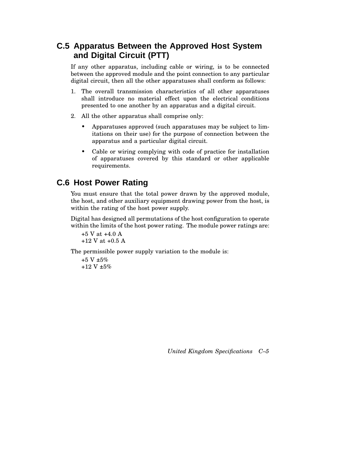## **C.5 Apparatus Between the Approved Host System and Digital Circuit (PTT)**

If any other apparatus, including cable or wiring, is to be connected between the approved module and the point connection to any particular digital circuit, then all the other apparatuses shall conform as follows:

- 1. The overall transmission characteristics of all other apparatuses shall introduce no material effect upon the electrical conditions presented to one another by an apparatus and a digital circuit.
- 2. All the other apparatus shall comprise only:
	- Apparatuses approved (such apparatuses may be subject to limitations on their use) for the purpose of connection between the apparatus and a particular digital circuit.
	- Cable or wiring complying with code of practice for installation of apparatuses covered by this standard or other applicable requirements.

## **C.6 Host Power Rating**

You must ensure that the total power drawn by the approved module, the host, and other auxiliary equipment drawing power from the host, is within the rating of the host power supply.

Digital has designed all permutations of the host configuration to operate within the limits of the host power rating. The module power ratings are:

```
+5 V at +4.0 A
+12 V at +0.5 A
```
The permissible power supply variation to the module is:

```
+5 V \pm 5\%+12 V ±5%
```
*United Kingdom Specifications C–5*